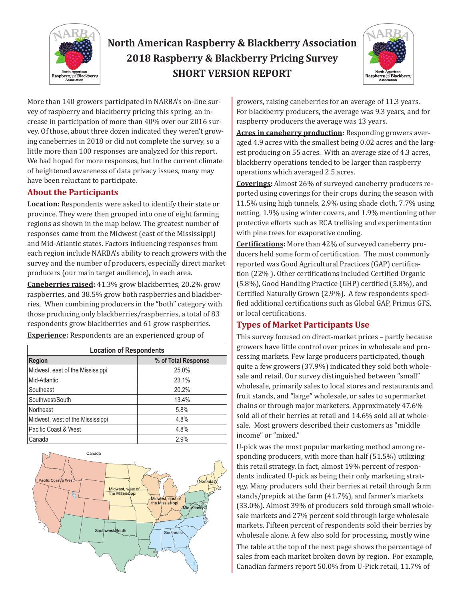

# **North American Raspberry & Blackberry Association 2018 Raspberry & Blackberry Pricing Survey SHORT VERSION REPORT**



More than 140 growers participated in NARBA's on-line survey of raspberry and blackberry pricing this spring, an increase in participation of more than 40% over our 2016 survey. Of those, about three dozen indicated they weren't growing caneberries in 2018 or did not complete the survey, so a little more than 100 responses are analyzed for this report. We had hoped for more responses, but in the current climate of heightened awareness of data privacy issues, many may have been reluctant to participate.

## **About the Participants**

**Location:** Respondents were asked to identify their state or province. They were then grouped into one of eight farming regions as shown in the map below. The greatest number of responses came from the Midwest (east of the Mississippi) and Mid-Atlantic states. Factors influencing responses from each region include NARBA's ability to reach growers with the survey and the number of producers, especially direct market producers (our main target audience), in each area.

**Caneberries raised:** 41.3% grow blackberries, 20.2% grow raspberries, and 38.5% grow both raspberries and blackberries, When combining producers in the "both" category with those producing only blackberries/raspberries, a total of 83 respondents grow blackberries and 61 grow raspberries.

**Experience:** Respondents are an experienced group of

| <b>Location of Respondents</b>   |                     |  |  |  |  |
|----------------------------------|---------------------|--|--|--|--|
| <b>Region</b>                    | % of Total Response |  |  |  |  |
| Midwest, east of the Mississippi | 25.0%               |  |  |  |  |
| Mid-Atlantic                     | 23.1%               |  |  |  |  |
| Southeast                        | 20.2%               |  |  |  |  |
| Southwest/South                  | 13.4%               |  |  |  |  |
| Northeast                        | 5.8%                |  |  |  |  |
| Midwest, west of the Mississippi | 4.8%                |  |  |  |  |
| Pacific Coast & West             | 4.8%                |  |  |  |  |
| Canada                           | 2.9%                |  |  |  |  |



growers, raising caneberries for an average of 11.3 years. For blackberry producers, the average was 9.3 years, and for raspberry producers the average was 13 years.

**Acres in caneberry production:** Responding growers averaged 4.9 acres with the smallest being 0.02 acres and the largest producing on 55 acres. With an average size of 4.3 acres, blackberry operations tended to be larger than raspberry operations which averaged 2.5 acres.

**Coverings:** Almost 26% of surveyed caneberry producers reported using coverings for their crops during the season with 11.5% using high tunnels, 2.9% using shade cloth, 7.7% using netting, 1.9% using winter covers, and 1.9% mentioning other protective efforts such as RCA trellising and experimentation with pine trees for evaporative cooling.

**Certifications:** More than 42% of surveyed caneberry producers held some form of certification. The most commonly reported was Good Agricultural Practices (GAP) certification (22% ). Other certifications included Certified Organic (5.8%), Good Handling Practice (GHP) certified (5.8%), and Certified Naturally Grown (2.9%). A few respondents specified additional certifications such as Global GAP, Primus GFS, or local certifications.

## **Types of Market Participants Use**

This survey focused on direct-market prices – partly because growers have little control over prices in wholesale and processing markets. Few large producers participated, though quite a few growers (37.9%) indicated they sold both wholesale and retail. Our survey distinguished between "small" wholesale, primarily sales to local stores and restaurants and fruit stands, and "large" wholesale, or sales to supermarket chains or through major marketers. Approximately 47.6% sold all of their berries at retail and 14.6% sold all at wholesale. Most growers described their customers as "middle income" or "mixed."

U-pick was the most popular marketing method among responding producers, with more than half (51.5%) utilizing this retail strategy. In fact, almost 19% percent of respondents indicated U-pick as being their only marketing strategy. Many producers sold their berries at retail through farm stands/prepick at the farm (41.7%), and farmer's markets (33.0%). Almost 39% of producers sold through small wholesale markets and 27% percent sold through large wholesale markets. Fifteen percent of respondents sold their berries by wholesale alone. A few also sold for processing, mostly wine The table at the top of the next page shows the percentage of sales from each market broken down by region. For example, Canadian farmers report 50.0% from U-Pick retail, 11.7% of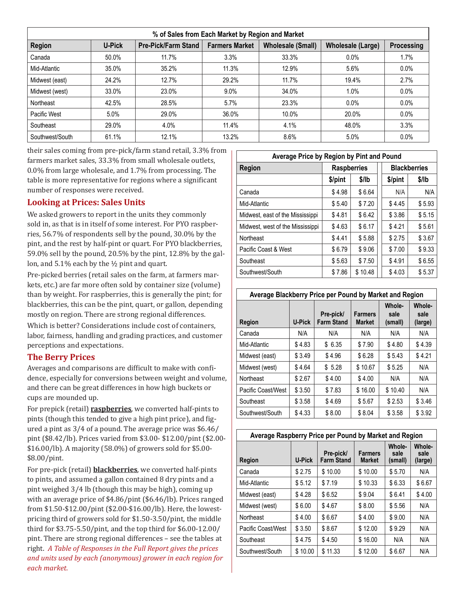| % of Sales from Each Market by Region and Market |               |                            |                       |                                                      |       |            |  |
|--------------------------------------------------|---------------|----------------------------|-----------------------|------------------------------------------------------|-------|------------|--|
| Region                                           | <b>U-Pick</b> | <b>Pre-Pick/Farm Stand</b> | <b>Farmers Market</b> | <b>Wholesale (Small)</b><br><b>Wholesale (Large)</b> |       | Processing |  |
| Canada                                           | 50.0%         | 11.7%                      | 3.3%                  | 33.3%                                                | 0.0%  | 1.7%       |  |
| Mid-Atlantic                                     | 35.0%         | 35.2%                      | 11.3%                 | 12.9%                                                | 5.6%  | 0.0%       |  |
| Midwest (east)                                   | 24.2%         | 12.7%                      | 29.2%                 | 11.7%                                                | 19.4% | 2.7%       |  |
| Midwest (west)                                   | 33.0%         | 23.0%                      | 9.0%                  | 34.0%                                                | 1.0%  | 0.0%       |  |
| Northeast                                        | 42.5%         | 28.5%                      | 5.7%                  | 23.3%                                                | 0.0%  | 0.0%       |  |
| Pacific West                                     | 5.0%          | 29.0%                      | 36.0%                 | 10.0%                                                | 20.0% | $0.0\%$    |  |
| Southeast                                        | 29.0%         | 4.0%                       | 11.4%                 | 4.1%                                                 | 48.0% | 3.3%       |  |
| Southwest/South                                  | 61.1%         | 12.1%                      | 13.2%                 | 8.6%                                                 | 5.0%  | 0.0%       |  |

their sales coming from pre-pick/farm stand retail, 3.3% from farmers market sales, 33.3% from small wholesale outlets, 0.0% from large wholesale, and 1.7% from processing. The table is more representative for regions where a significant number of responses were received.

### **Looking at Prices: Sales Units**

We asked growers to report in the units they commonly sold in, as that is in itself of some interest. For PYO raspberries, 56.7% of respondents sell by the pound, 30.0% by the pint, and the rest by half-pint or quart. For PYO blackberries, 59.0% sell by the pound, 20.5% by the pint, 12.8% by the gallon, and 5.1% each by the ½ pint and quart.

Pre-picked berries (retail sales on the farm, at farmers markets, etc.) are far more often sold by container size (volume) than by weight. For raspberries, this is generally the pint; for blackberries, this can be the pint, quart, or gallon, depending mostly on region. There are strong regional differences.

Which is better? Considerations include cost of containers, labor, fairness, handling and grading practices, and customer perceptions and expectations.

#### **The Berry Prices**

Averages and comparisons are difficult to make with confidence, especially for conversions between weight and volume, and there can be great differences in how high buckets or cups are mounded up.

For prepick (retail) **raspberries**, we converted half-pints to pints (though this tended to give a high pint price), and figured a pint as 3/4 of a pound. The average price was \$6.46/ pint (\$8.42/lb). Prices varied from \$3.00- \$12.00/pint (\$2.00- \$16.00/lb). A majority (58.0%) of growers sold for \$5.00- \$8.00/pint.

For pre-pick (retail) **blackberries**, we converted half-pints to pints, and assumed a gallon contained 8 dry pints and a pint weighed 3/4 lb (though this may be high), coming up with an average price of \$4.86/pint (\$6.46/lb). Prices ranged from \$1.50-\$12.00/pint (\$2.00-\$16.00/lb). Here, the lowestpricing third of growers sold for \$1.50-3.50/pint, the middle third for \$3.75-5.50/pint, and the top third for \$6.00-12.00/ pint. There are strong regional differences – see the tables at right. *A Table of Responses in the Full Report gives the prices and units used by each (anonymous) grower in each region for each market.*

| Average Price by Region by Pint and Pound |                    |         |  |                     |        |  |
|-------------------------------------------|--------------------|---------|--|---------------------|--------|--|
| Region                                    | <b>Raspberries</b> |         |  | <b>Blackberries</b> |        |  |
|                                           | \$/pint            | \$/lb   |  | \$/pint             | \$/lb  |  |
| Canada                                    | \$4.98             | \$6.64  |  | N/A                 | N/A    |  |
| Mid-Atlantic                              | \$5.40             | \$7.20  |  | \$4.45              | \$5.93 |  |
| Midwest, east of the Mississippi          | \$4.81             | \$6.42  |  | \$3.86              | \$5.15 |  |
| Midwest, west of the Mississippi          | \$4.63             | \$6.17  |  | \$4.21              | \$5.61 |  |
| Northeast                                 | \$4.41             | \$5.88  |  | \$2.75              | \$3.67 |  |
| Pacific Coast & West                      | \$6.79             | \$9.06  |  | \$7.00              | \$9.33 |  |
| Southeast                                 | \$5.63             | \$7.50  |  | \$4.91              | \$6.55 |  |
| Southwest/South                           | \$7.86             | \$10.48 |  | \$4.03              | \$5.37 |  |

| Average Blackberry Price per Pound by Market and Region |               |                                |                                 |                                  |                           |
|---------------------------------------------------------|---------------|--------------------------------|---------------------------------|----------------------------------|---------------------------|
| Region                                                  | <b>U-Pick</b> | Pre-pick/<br><b>Farm Stand</b> | <b>Farmers</b><br><b>Market</b> | <b>Whole-</b><br>sale<br>(small) | Whole-<br>sale<br>(large) |
| Canada                                                  | N/A           | N/A                            | N/A                             | N/A                              | N/A                       |
| Mid-Atlantic                                            | \$4.83        | \$6.35                         | \$7.90                          | \$4.80                           | \$4.39                    |
| Midwest (east)                                          | \$3.49        | \$4.96                         | \$6.28                          | \$5.43                           | \$4.21                    |
| Midwest (west)                                          | \$4.64        | \$5.28                         | \$10.67                         | \$5.25                           | N/A                       |
| Northeast                                               | \$2.67        | \$4.00                         | \$4.00                          | N/A                              | N/A                       |
| Pacific Coast/West                                      | \$3.50        | \$7.83                         | \$16.00                         | \$10.40                          | N/A                       |
| Southeast                                               | \$3.58        | \$4.69                         | \$5.67                          | \$2.53                           | \$3.46                    |
| Southwest/South                                         | \$4.33        | \$8.00                         | \$8.04                          | \$3.58                           | \$3.92                    |

| Average Raspberry Price per Pound by Market and Region |               |                                |                                 |                           |                                  |  |
|--------------------------------------------------------|---------------|--------------------------------|---------------------------------|---------------------------|----------------------------------|--|
| Region                                                 | <b>U-Pick</b> | Pre-pick/<br><b>Farm Stand</b> | <b>Farmers</b><br><b>Market</b> | Whole-<br>sale<br>(small) | <b>Whole-</b><br>sale<br>(large) |  |
| Canada                                                 | \$2.75        | \$10.00                        | \$10.00                         | \$5.70                    | N/A                              |  |
| Mid-Atlantic                                           | \$5.12        | \$7.19                         | \$10.33                         | \$6.33                    | \$6.67                           |  |
| Midwest (east)                                         | \$4.28        | \$6.52                         | \$9.04                          | \$6.41                    | \$4.00                           |  |
| Midwest (west)                                         | \$6.00        | \$4.67                         | \$8.00                          | \$5.56                    | N/A                              |  |
| Northeast                                              | \$4.00        | \$6.67                         | \$4.00                          | \$9.00                    | N/A                              |  |
| Pacific Coast/West                                     | \$3.50        | \$8.67                         | \$12.00                         | \$9.29                    | N/A                              |  |
| Southeast                                              | \$4.75        | \$4.50                         | \$16.00                         | N/A                       | N/A                              |  |
| Southwest/South                                        | \$10.00       | \$11.33                        | \$12.00                         | \$6.67                    | N/A                              |  |